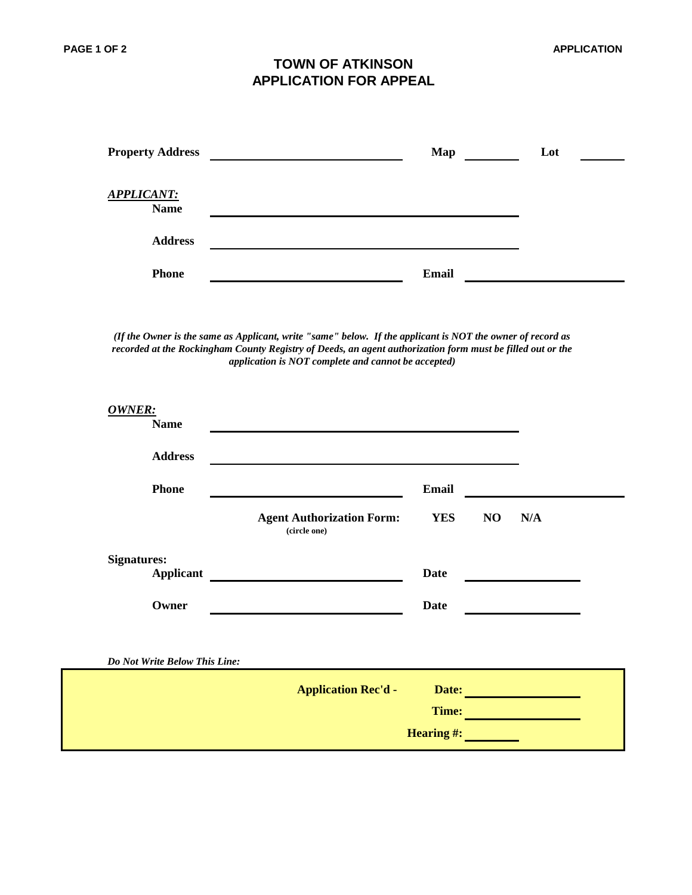## **TOWN OF ATKINSON APPLICATION FOR APPEAL**

| <b>Property Address</b>          | Map          | Lot |
|----------------------------------|--------------|-----|
| <b>APPLICANT:</b><br><b>Name</b> |              |     |
| <b>Address</b>                   |              |     |
| <b>Phone</b>                     | <b>Email</b> |     |

*(If the Owner is the same as Applicant, write "same" below. If the applicant is NOT the owner of record as recorded at the Rockingham County Registry of Deeds, an agent authorization form must be filled out or the application is NOT complete and cannot be accepted)*

| OWNER:<br><b>Name</b>                  |                                                  |                           |    |     |  |
|----------------------------------------|--------------------------------------------------|---------------------------|----|-----|--|
| <b>Address</b>                         |                                                  |                           |    |     |  |
| <b>Phone</b>                           |                                                  | Email                     |    |     |  |
|                                        | <b>Agent Authorization Form:</b><br>(circle one) | <b>YES</b>                | NO | N/A |  |
| <b>Signatures:</b><br><b>Applicant</b> |                                                  | <b>Date</b>               |    |     |  |
| Owner                                  |                                                  | <b>Date</b>               |    |     |  |
| Do Not Write Below This Line:          |                                                  |                           |    |     |  |
|                                        | <b>Application Rec'd -</b>                       | Date:                     |    |     |  |
|                                        |                                                  | Time:<br><b>Hearing#:</b> |    |     |  |